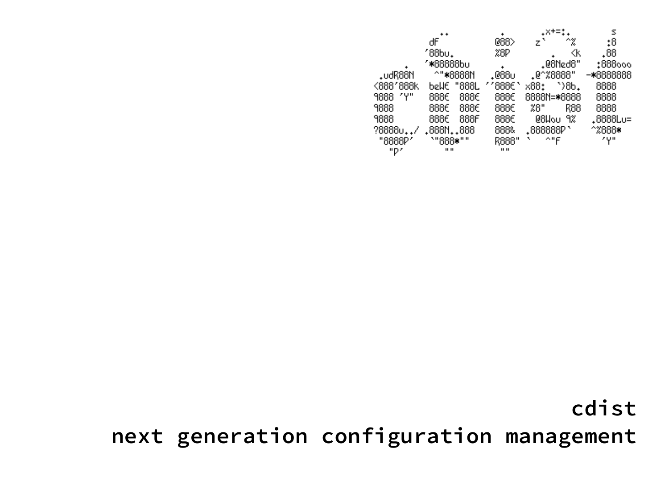|           |                |              | +×+=*                | s         |
|-----------|----------------|--------------|----------------------|-----------|
|           | ďF             | 088>         | ^%<br>z,             | 0:        |
|           | 188bu.         | %8P          | ≪k                   | .88       |
|           | ″*88888b∪      |              | .@8Ned8"             | :888000   |
| .udR88N   | ^"*8888N       | .088∪        | .@^%8888"            | -*8888888 |
| <888'888k | "888L<br>bellE | ′′888€       | `)8b.<br>x88:        | 8888      |
| 9888 'Y"  | 888€<br>888€   | 888€         | 8888N= <b>*</b> 8888 | 8888      |
| 9888      | 888€<br>888€   | 888€         | 28"<br>R88           | 8888      |
| 9888      | 888€<br>888F   | 888€         | 08Wou<br>9%          | .8888Lu=  |
| ?88880    | .8881888       | 888&         | .888888P'            | ^%888∗    |
| "8888P'   | `"888*""       | R888"        | ^"F                  | ۷γ۳       |
| "P′       | <b>11 11</b>   | $\mathbf{H}$ |                      |           |

**cdist**

**next generation configuration management**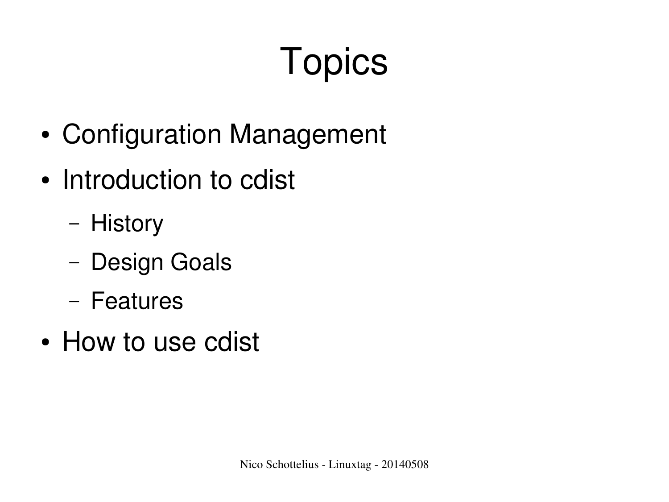# **Topics**

- Configuration Management
- Introduction to cdist
	- History
	- Design Goals
	- Features
- How to use cdist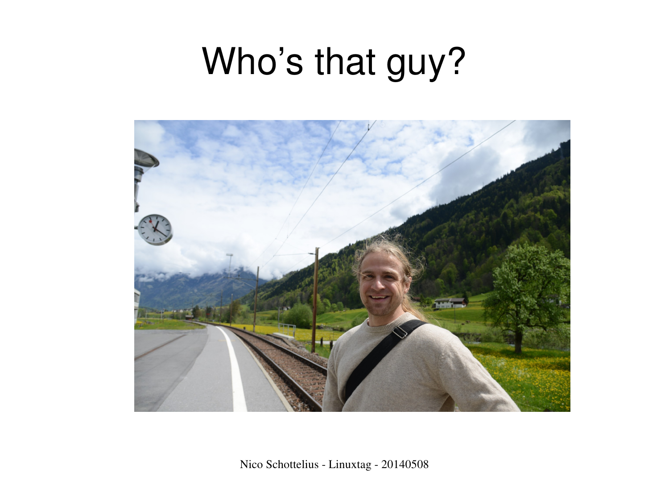### Who's that guy?

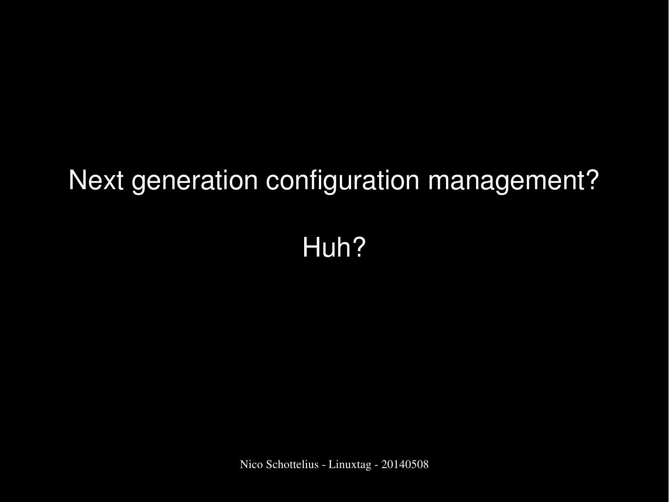#### Next generation configuration management?

#### Huh?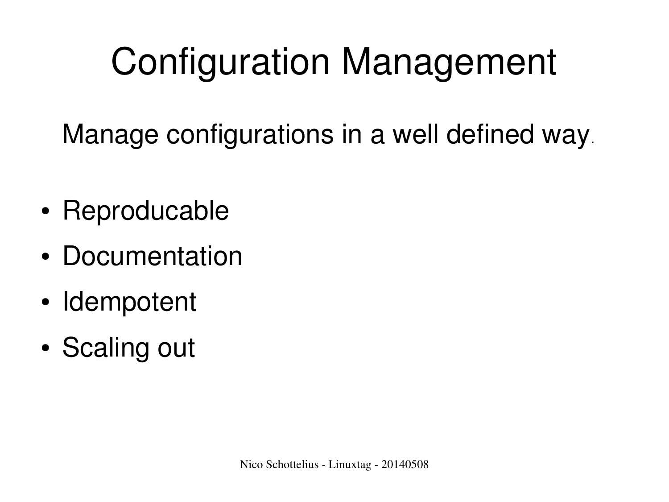# Configuration Management

Manage configurations in a well defined way.

- Reproducable
- Documentation
- Idempotent
- Scaling out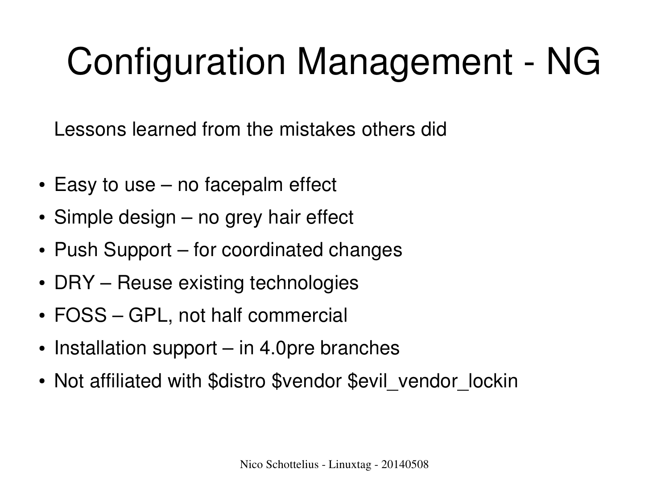# **Configuration Management - NG**

Lessons learned from the mistakes others did

- $\cdot$  Easy to use no facepalm effect
- $\cdot$  Simple design no grey hair effect
- Push Support for coordinated changes
- DRY Reuse existing technologies
- FOSS GPL, not half commercial
- $\cdot$  Installation support in 4.0 pre branches
- Not affiliated with \$distro \$vendor \$evil\_vendor\_lockin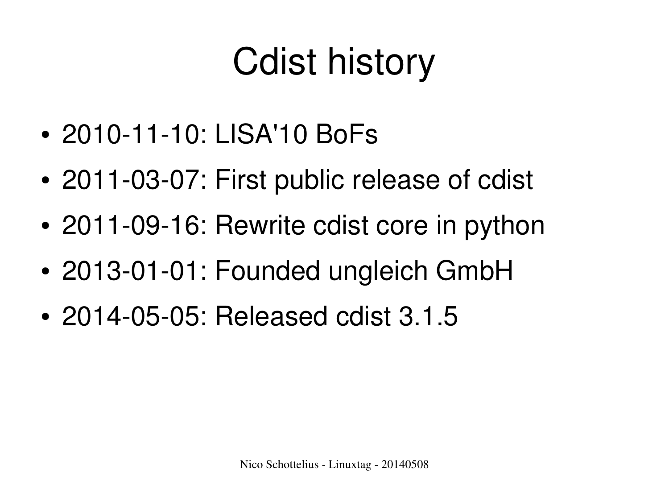### Cdist history

- 2010-11-10: LISA'10 BoFs
- 2011-03-07: First public release of cdist
- 2011-09-16: Rewrite cdist core in python
- 2013-01-01: Founded ungleich GmbH
- 2014-05-05: Released cdist 3.1.5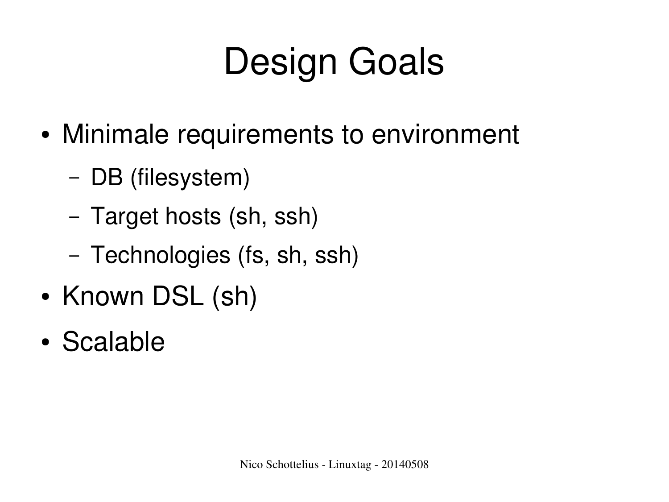# Design Goals

- Minimale requirements to environment
	- DB (filesystem)
	- Target hosts (sh, ssh)
	- Technologies (fs, sh, ssh)
- Known DSL (sh)
- Scalable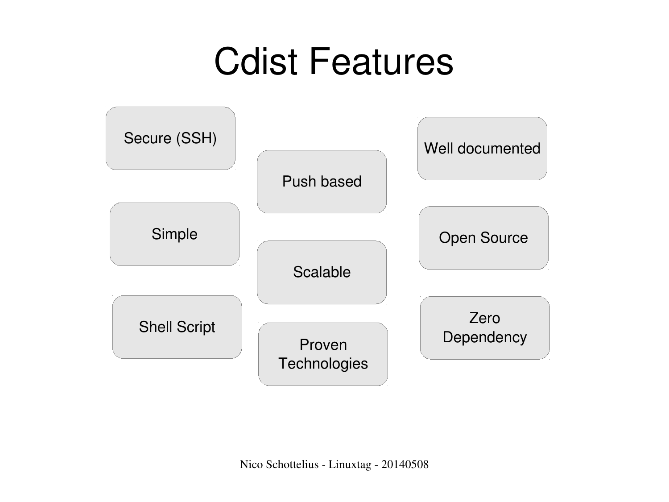### Cdist Features

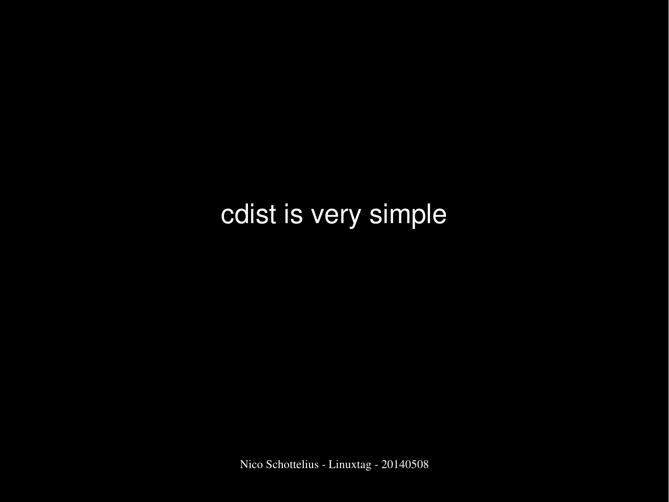#### cdist is very simple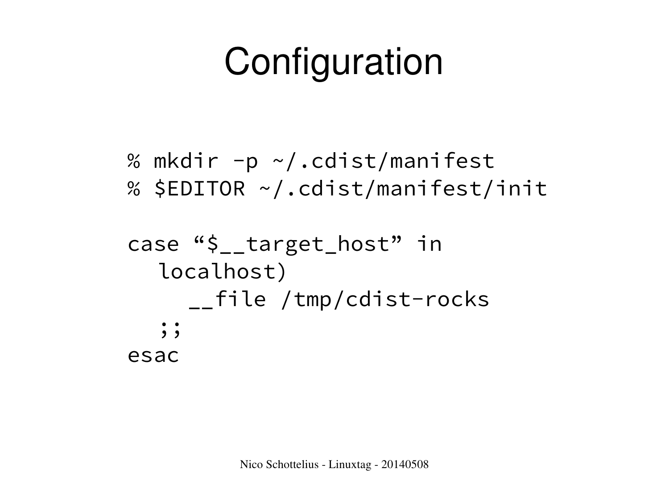## **Configuration**

```
% mkdir -p \sim /.cdist/manifest
% $EDITOR ~/.cdist/manifest/init
case "$__target_host" in
  localhost)
```
\_\_file /tmp/cdist-rocks  $;\;;\;$ esac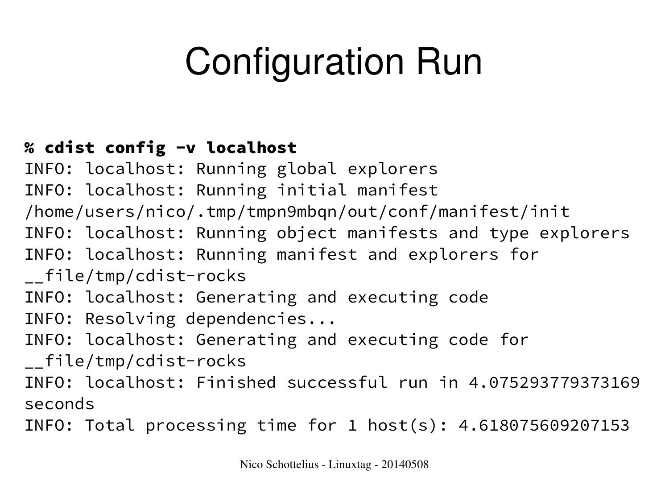# Configuration Run

#### % cdist config -v localhost

INFO: localhost: Running global explorers INFO: localhost: Running initial manifest /home/users/nico/.tmp/tmpn9mbqn/out/conf/manifest/init INFO: localhost: Running object manifests and type explorers INFO: localhost: Running manifest and explorers for \_\_file/tmp/cdist-rocks INFO: localhost: Generating and executing code INFO: Resolving dependencies... INFO: localhost: Generating and executing code for \_\_file/tmp/cdist-rocks INFO: localhost: Finished successful run in 4.075293779373169 seconds

INFO: Total processing time for 1 host(s): 4.618075609207153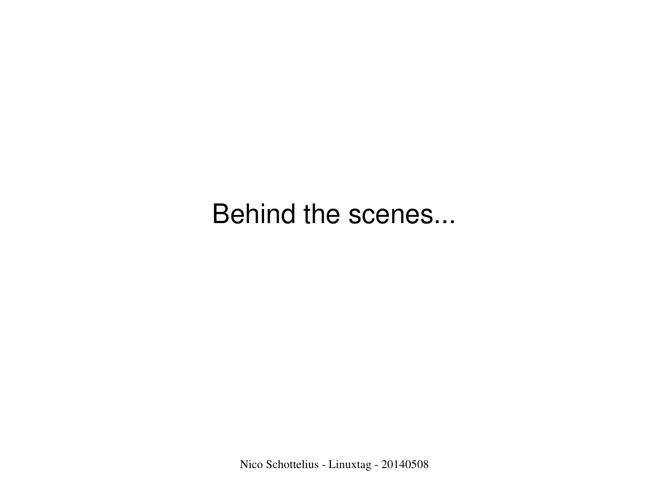Behind the scenes...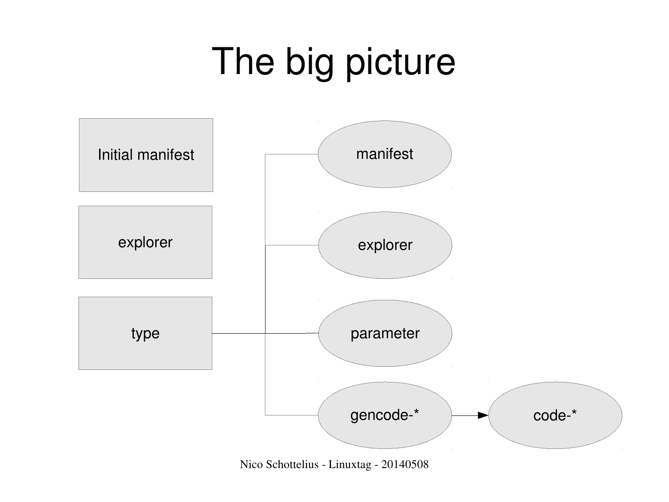## The big picture



Nico Schottelius - Linuxtag - 20140508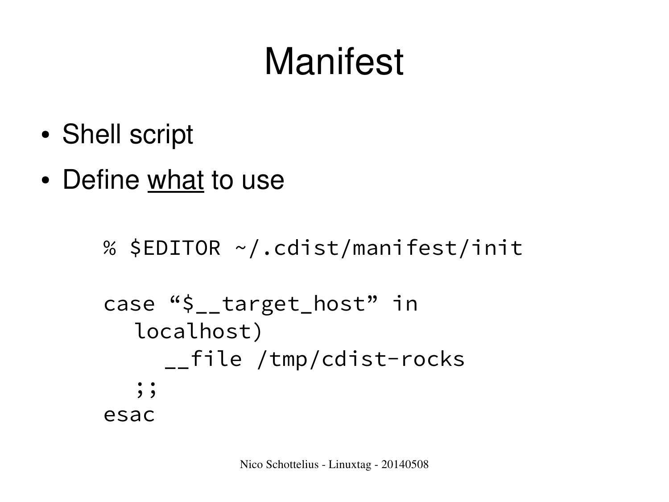### Manifest

- Shell script
- Define what to use

```
% $EDITOR ~/.cdist/manifest/init
case "$__target_host" in
  localhost)
     __file /tmp/cdist-rocks
   \frac{1}{2};
esac
```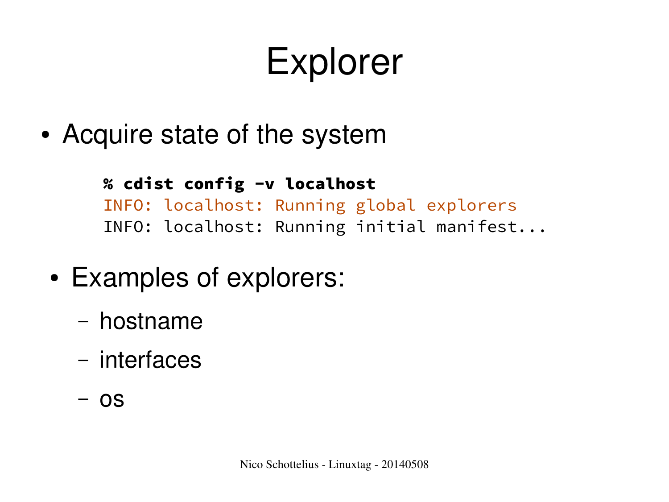### Explorer

• Acquire state of the system

% cdist config -v localhost INFO: localhost: Running global explorers INFO: localhost: Running initial manifest...

- Examples of explorers:
	- hostname
	- interfaces
	- os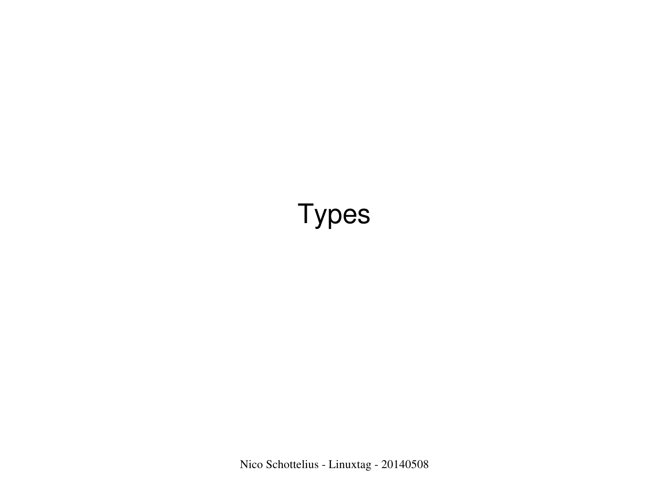#### Types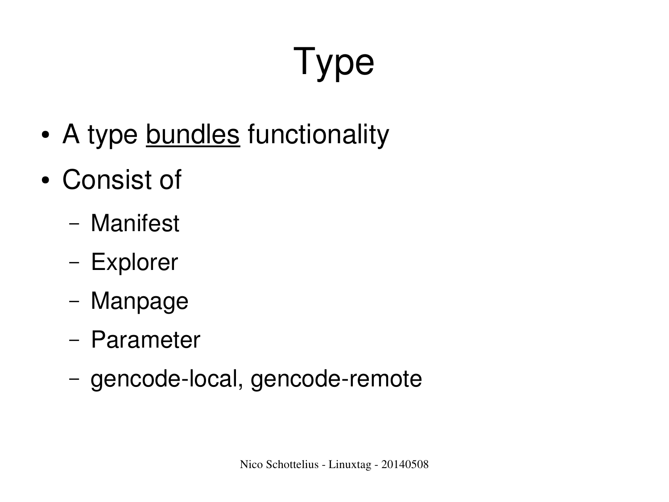# Type

- A type bundles functionality
- Consist of
	- Manifest
	- Explorer
	- Manpage
	- Parameter
	- gencode-local, gencode-remote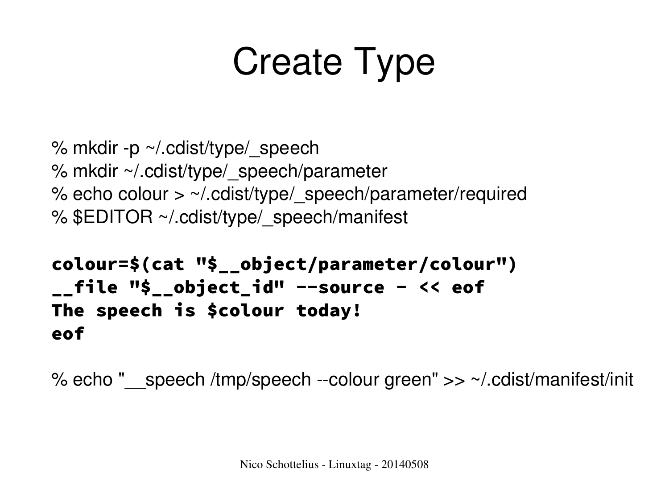# Create Type

```
% mkdir -p \sim/.cdist/type/ speech
% mkdir ~/.cdist/type/_speech/parameter
% echo colour > \sim/ cdist/type/ speech/parameter/required
% $EDITOR ~/.cdist/type/ speech/manifest
```

```
colour=$(cat "$__object/parameter/colour")
__file "$__object_id" --source - << eof
The speech is $colour today!
eof
```
% echo "\_\_speech /tmp/speech --colour green"  $>> \sim$ /.cdist/manifest/init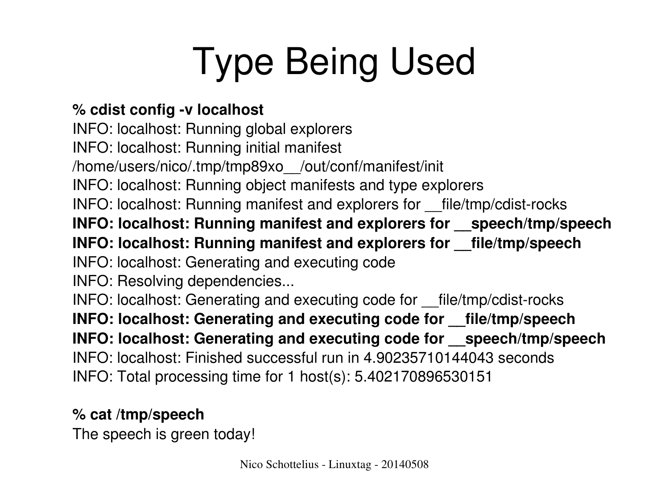# Type Being Used

#### % cdist config -v localhost

INFO: localhost: Running global explorers INFO: localhost: Running initial manifest /home/users/nico/.tmp/tmp89xo\_\_/out/conf/manifest/init INFO: localhost: Running object manifests and type explorers INFO: localhost: Running manifest and explorers for \_\_file/tmp/cdist-rocks **INFO: localhost: Running manifest and explorers for \_\_speech/tmp/speech INFO: localhost: Running manifest and explorers for \_\_file/tmp/speech** INFO: localhost: Generating and executing code INFO: Resolving dependencies... INFO: localhost: Generating and executing code for file/tmp/cdist-rocks **INFO: localhost: Generating and executing code for \_\_file/tmp/speech INFO: localhost: Generating and executing code for \_\_speech/tmp/speech** INFO: localhost: Finished successful run in 4.90235710144043 seconds INFO: Total processing time for 1 host(s): 5.402170896530151

#### **% cat /tmp/speech**

The speech is green today!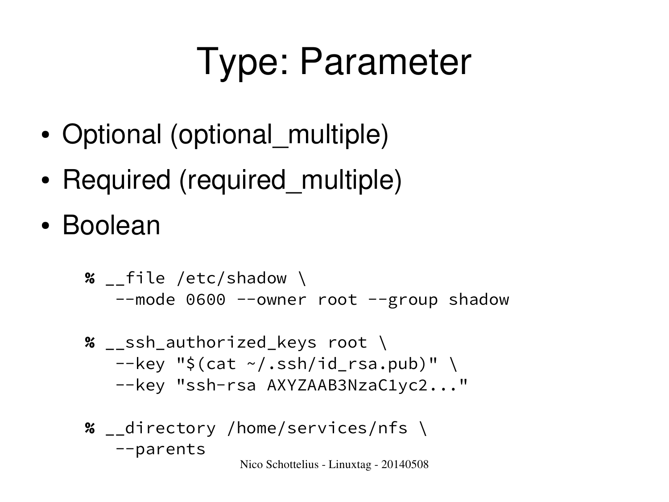# Type: Parameter

- Optional (optional multiple)
- Required (required multiple)
- Boolean

% \_\_file /etc/shadow \ --mode 0600 --owner root --group shadow

- % \_\_ssh\_authorized\_keys root \  $-$ key "\$(cat  $\sim$ /.ssh/id\_rsa.pub)" \ --key "ssh-rsa AXYZAAB3NzaC1yc2..."
- % \_\_directory /home/services/nfs \ --parents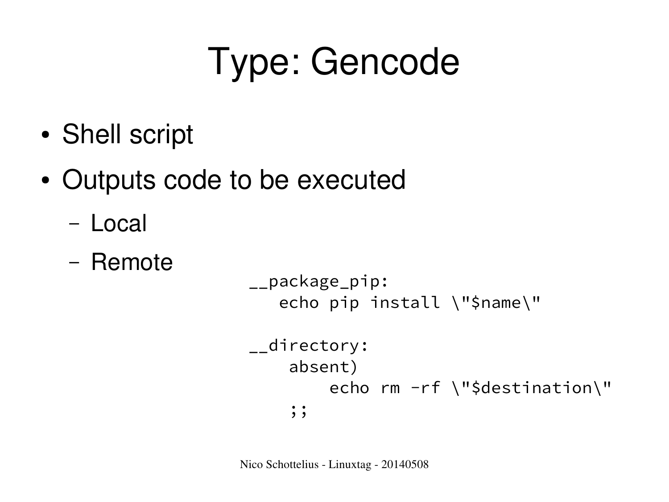### Type: Gencode

- Shell script
- Outputs code to be executed
	- Local
	- Remote

```
__package_pip:
   echo pip install \"$name\"
__directory:
     absent)
        echo rm -rf \"$destination\"
    ; ;
```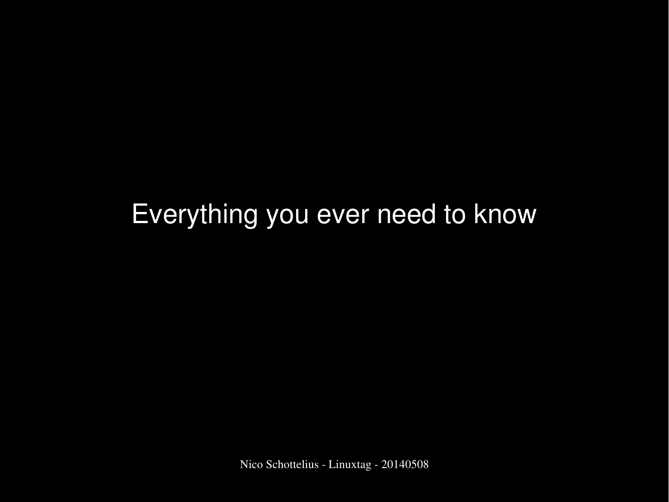#### Everything you ever need to know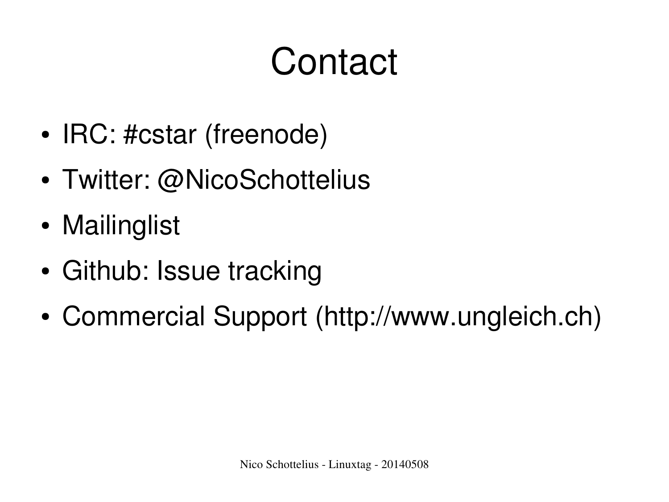### **Contact**

- IRC: #cstar (freenode)
- Twitter: @NicoSchottelius
- Mailinglist
- Github: Issue tracking
- Commercial Support (http://www.ungleich.ch)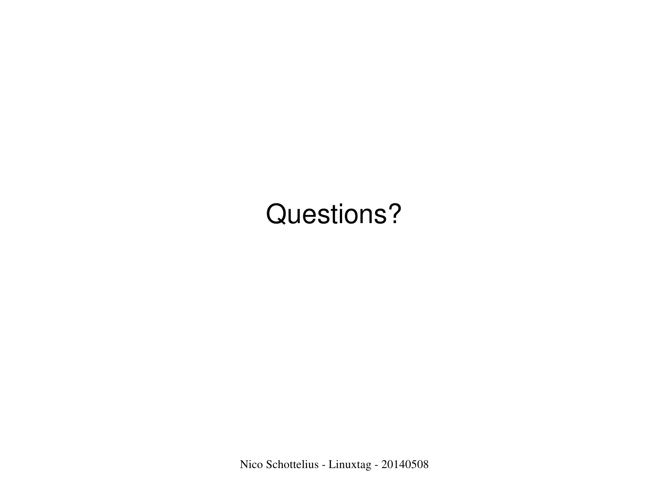#### Questions?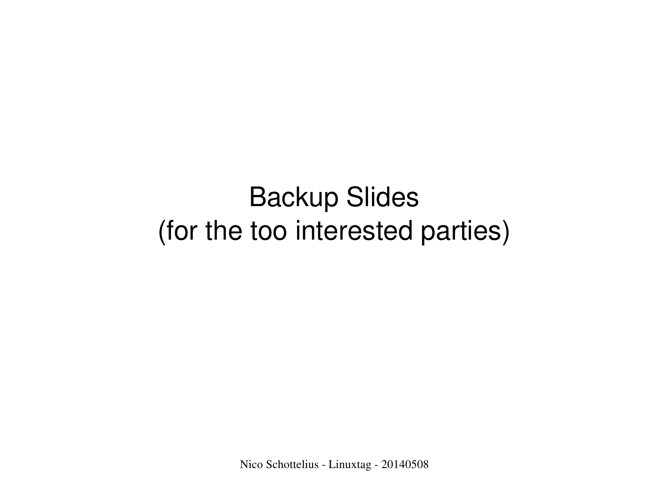#### Backup Slides (for the too interested parties)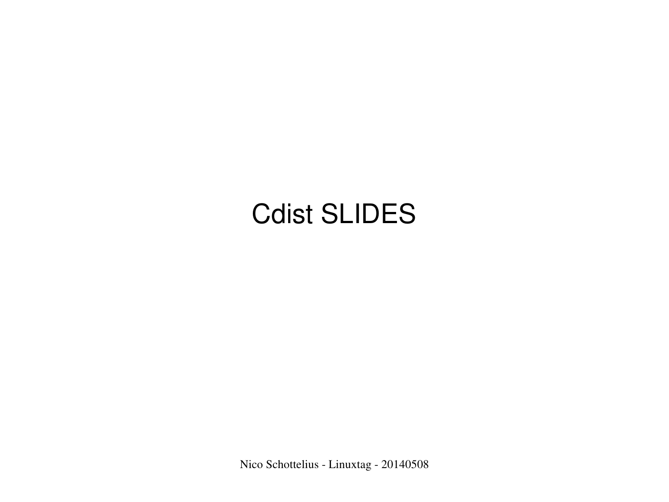#### Cdist SLIDES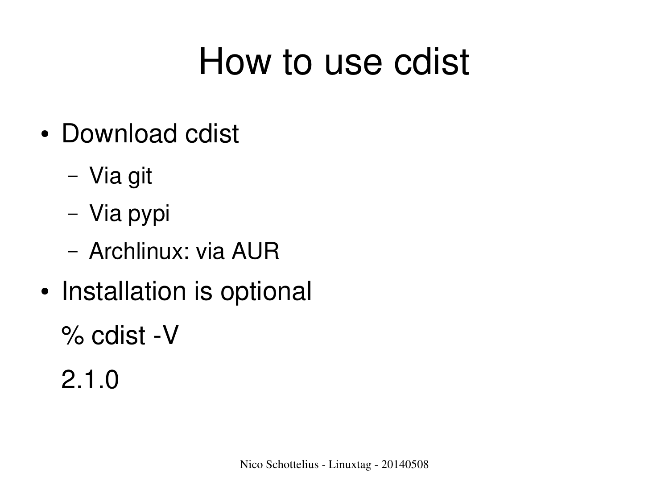### How to use cdist

- Download cdist
	- Via git
	- Via pypi
	- Archlinux: via AUR
- Installation is optional

 $%$  cdist -V

2.1.0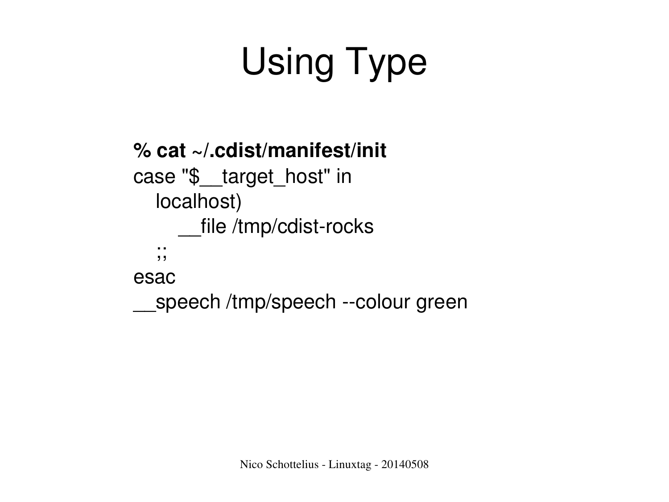# Using Type

```
% cat ~/.cdist/manifest/init 
case "$__target_host" in
      localhost)
        file /tmp/cdist-rocks
       ;;
esac
  speech /tmp/speech --colour green
```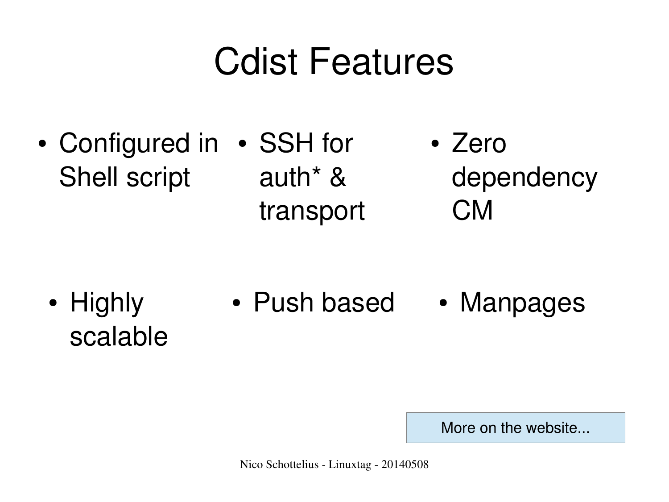### Cdist Features

• Configured in • SSH for Shell script • Zero dependency CM auth\* & transport

• Push based • Highly scalable • Manpages

More on the website...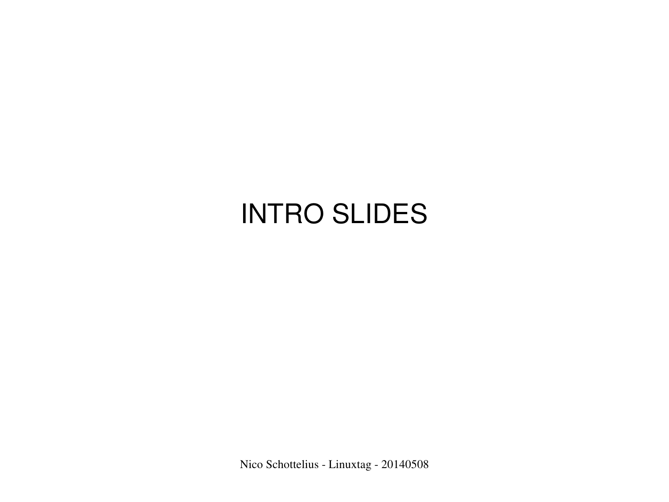#### INTRO SLIDES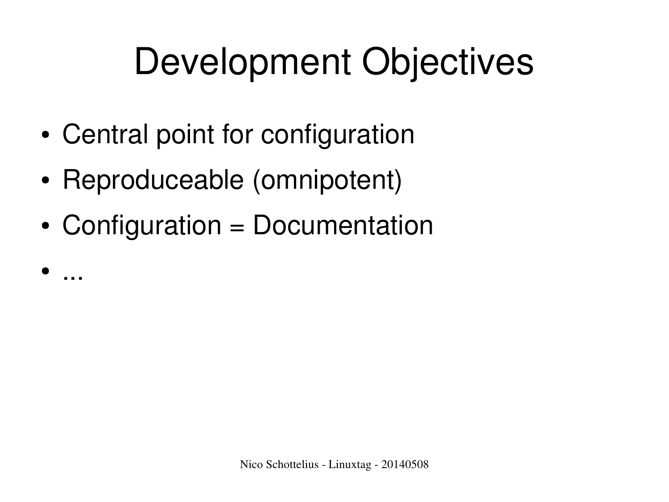### Development Objectives

- Central point for configuration
- Reproduceable (omnipotent)

● ...

• Configuration = Documentation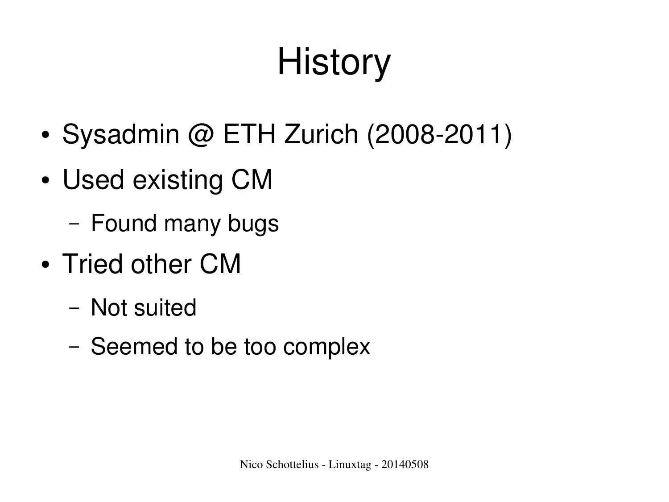# **History**

- Sysadmin  $@$  ETH Zurich (2008-2011)
- Used existing CM
	- Found many bugs
- Tried other CM
	- Not suited
	- Seemed to be too complex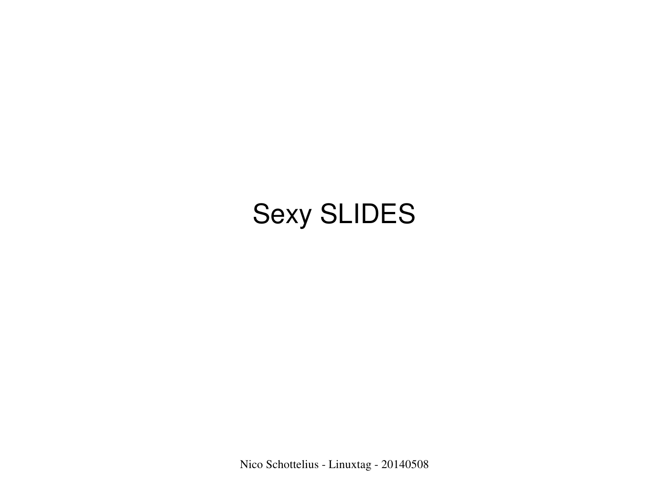#### Sexy SLIDES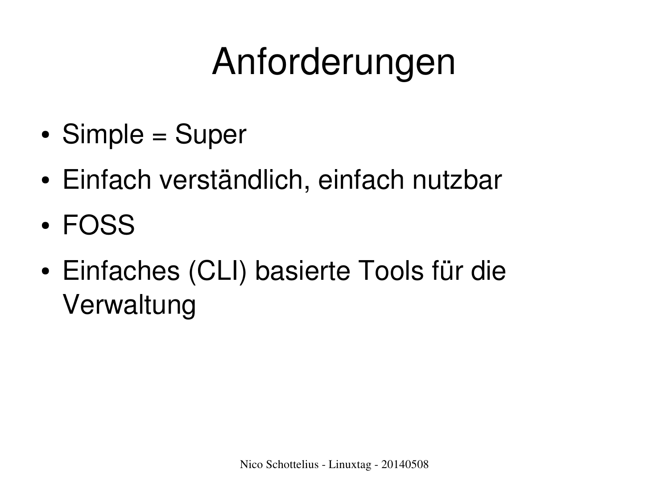## Anforderungen

- $\bullet$  Simple = Super
- Einfach verständlich, einfach nutzbar
- FOSS
- Einfaches (CLI) basierte Tools für die Verwaltung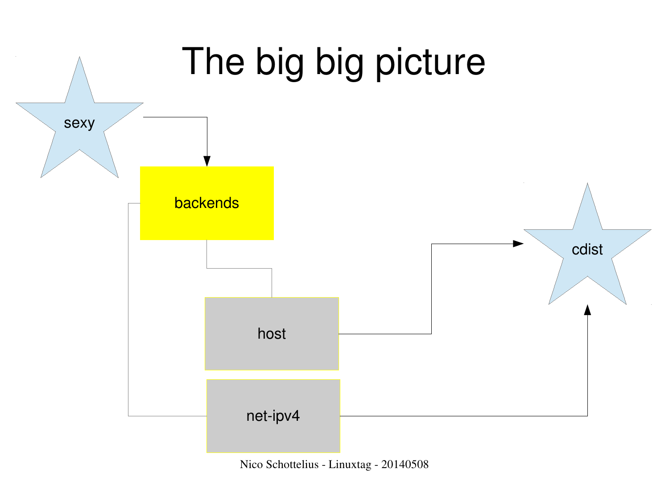

Nico Schottelius - Linuxtag - 20140508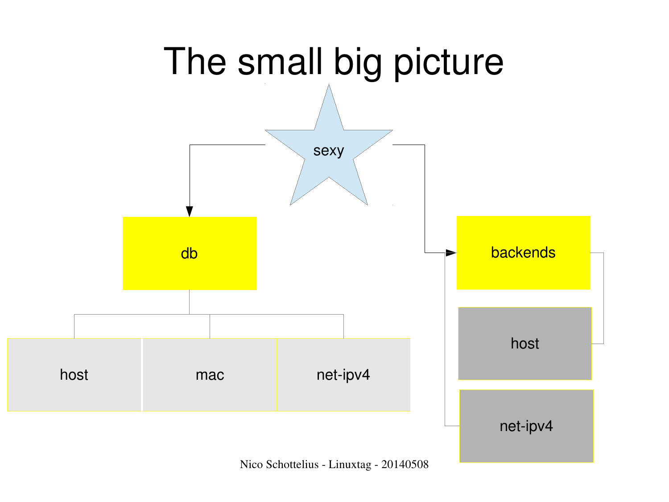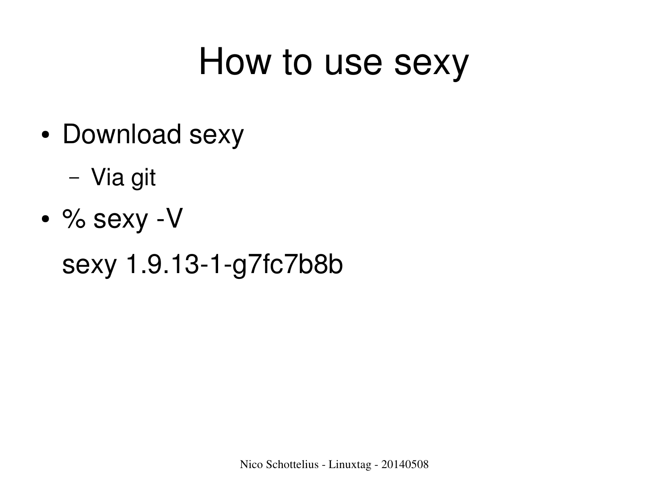#### How to use sexy

- Download sexy
	- Via git
- $\cdot$  % sexy -V

sexy 1.9.13-1-g7fc7b8b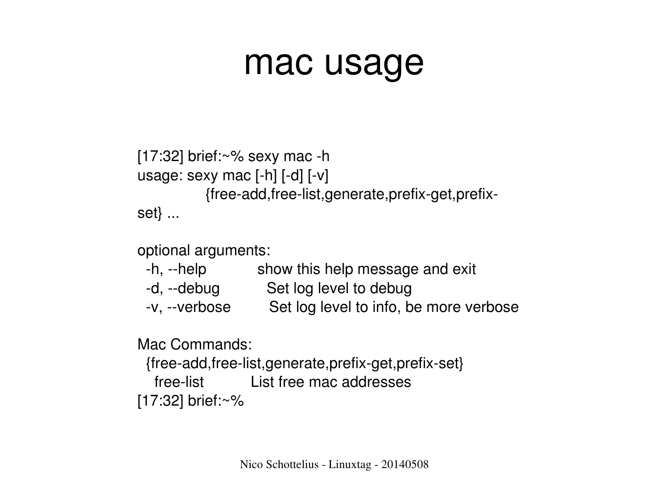#### mac usage

```
[17:32] brief:\sim\% sexy mac -h
usage: sexy mac [-h] [-d] [-v]{free-add,free-list,generate,prefix-get,prefix-
set} ...
```
optional arguments:

| -h, --help | show this help message and exit |
|------------|---------------------------------|
|            |                                 |

- -d, --debug Set log level to debug
- -v, --verbose Set log level to info, be more verbose

Mac Commands:

{free-add,free-list,generate,prefix-get,prefix-set} freelist List free mac addresses [17:32] brief:~%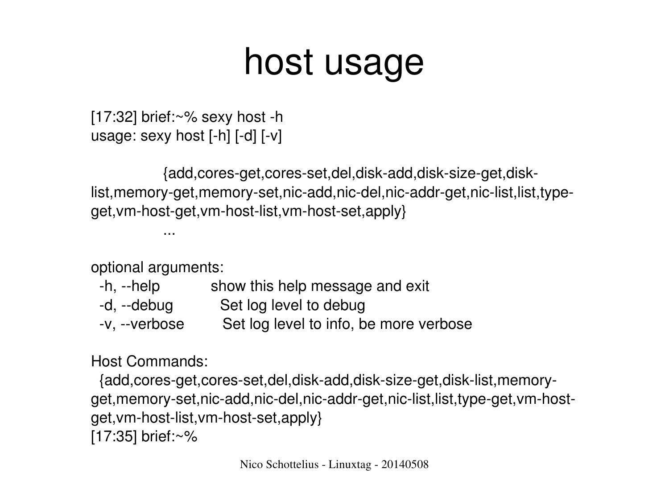#### host usage

 $[17:32]$  brief: $\sim\%$  sexy host -h usage: sexy host  $[-h]$   $[-d]$   $[-v]$ 

{add,cores-get,cores-set,del,disk-add,disk-size-get,disklist, memory-get, memory-set, nic-add,nic-del,nic-addr-get,nic-list, list, typeget, vm-host-get, vm-host-list, vm-host-set, apply }

optional arguments:

...

| -h, --help    | show this help message and exit        |
|---------------|----------------------------------------|
| -d, --debug   | Set log level to debug                 |
| -v, --verbose | Set log level to info, be more verbose |

#### Host Commands:

{add,cores-get,cores-set,del,disk-add,disk-size-get,disk-list,memoryget, memory-set, nic-add,nic-del,nic-addr-get,nic-list, list, type-get, vm-hostget, vm-host-list, vm-host-set, apply } [17:35] brief:~%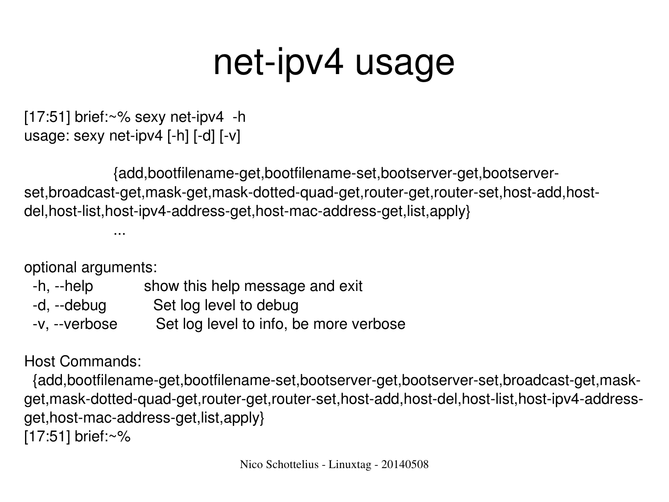### net-ipv4 usage

 $[17:51]$  brief: $\sim\%$  sexy net-ipv4 -h usage: sexy net-ipv4  $[-h]$   $[-d]$   $[-v]$ 

{add,bootfilename-get,bootfilename-set,bootserver-get,bootserverset,broadcast-get,mask-get,mask-dotted-guad-get,router-get,router-set,host-add,hostdel,host-list,host-ipv4-address-get,host-mac-address-get,list,apply}

optional arguments:

...

- -h, --help show this help message and exit
- -d, --debug Set log level to debug
- -v, --verbose Set log level to info, be more verbose

Host Commands:

{add,bootfilename-get,bootfilename-set,bootserver-get,bootserver-set,broadcast-get,maskget, mask-dotted-quad-get, router-get, router-set, host-add, host-del, host-list, host-ipv4-addressget, host-mac-address-get, list, apply } [17:51] brief:~%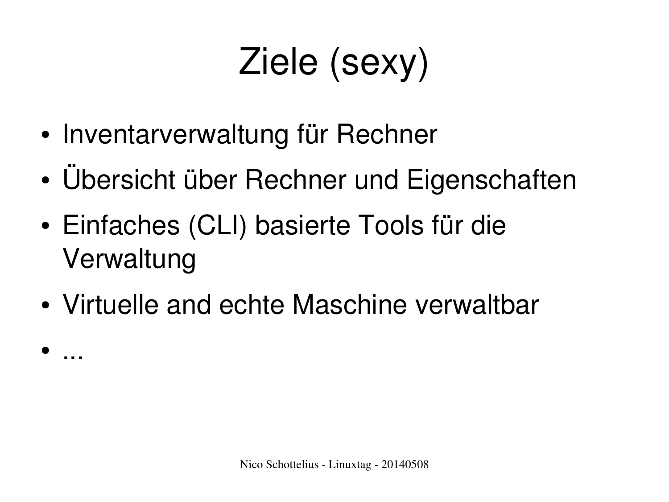# Ziele (sexy)

• Inventarverwaltung für Rechner

● ...

- Ubersicht über Rechner und Eigenschaften
- Einfaches (CLI) basierte Tools für die Verwaltung
- Virtuelle and echte Maschine verwaltbar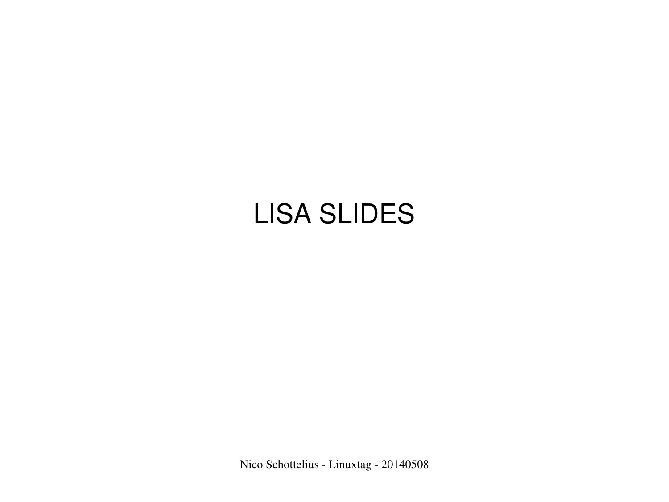#### LISA SLIDES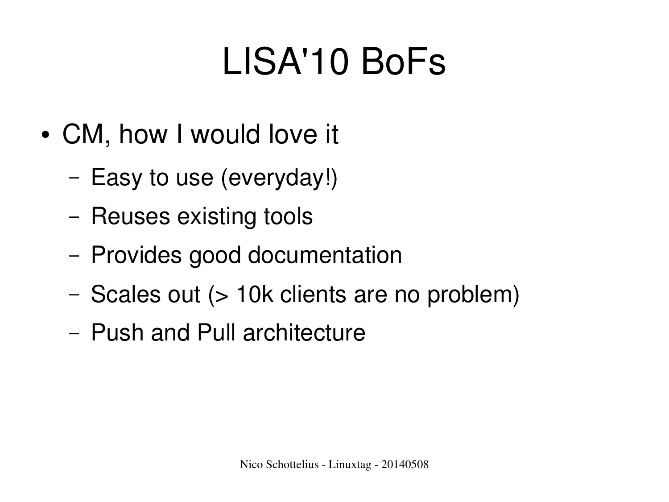## LISA'10 BoFs

- CM, how I would love it
	- Easy to use (everyday!)
	- Reuses existing tools
	- Provides good documentation
	- Scales out (> 10k clients are no problem)
	- Push and Pull architecture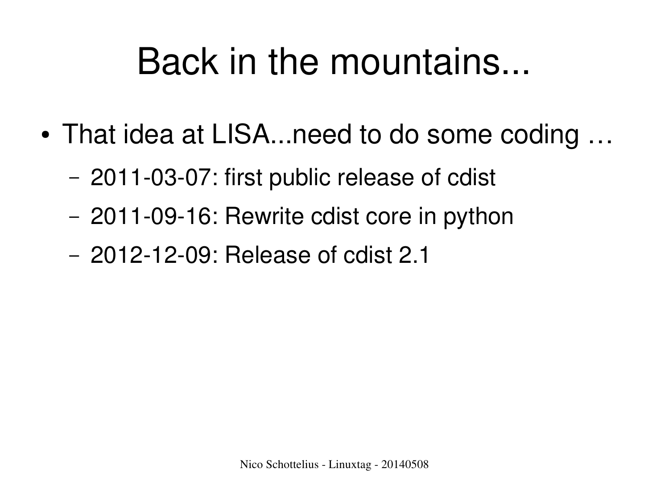### Back in the mountains...

- That idea at LISA...need to do some coding ...
	- 2011-03-07: first public release of cdist
	- 2011-09-16: Rewrite cdist core in python
	- 2012-12-09: Release of cdist 2.1